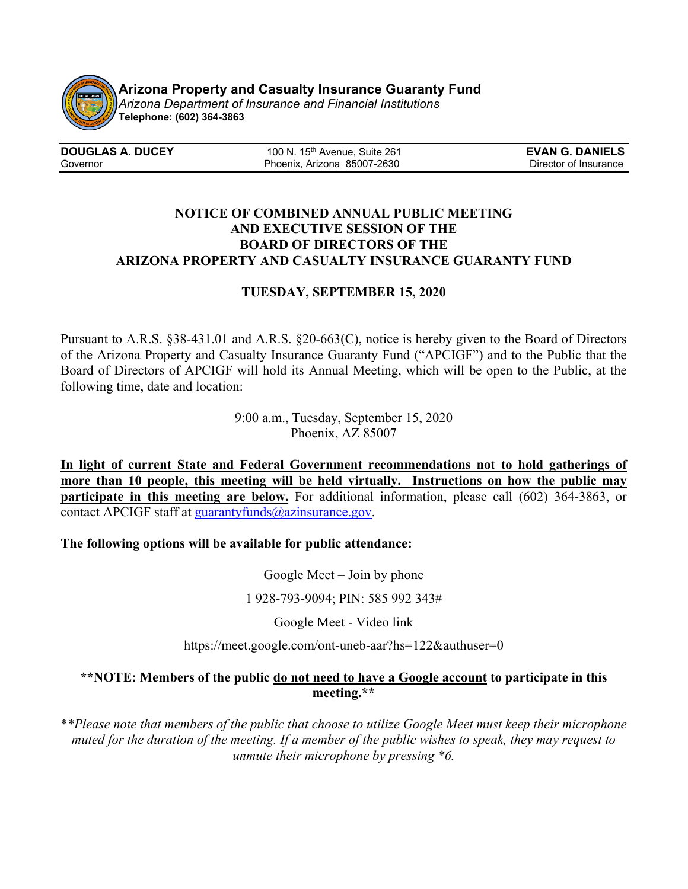

**Arizona Property and Casualty Insurance Guaranty Fund 09/09/20**

*Arizona Department of Insurance and Financial Institutions* **Telephone: (602) 364-3863**

| <b>DOUGLAS A. DUCEY</b> | 100 N. 15 <sup>th</sup> Avenue, Suite 261 | <b>EVAN G. DANIELS</b> |
|-------------------------|-------------------------------------------|------------------------|
| Governor                | Phoenix, Arizona 85007-2630               | Director of Insurance  |

## **NOTICE OF COMBINED ANNUAL PUBLIC MEETING AND EXECUTIVE SESSION OF THE BOARD OF DIRECTORS OF THE ARIZONA PROPERTY AND CASUALTY INSURANCE GUARANTY FUND**

## **TUESDAY, SEPTEMBER 15, 2020**

Pursuant to A.R.S. §38-431.01 and A.R.S. §20-663(C), notice is hereby given to the Board of Directors of the Arizona Property and Casualty Insurance Guaranty Fund ("APCIGF") and to the Public that the Board of Directors of APCIGF will hold its Annual Meeting, which will be open to the Public, at the following time, date and location:

> 9:00 a.m., Tuesday, September 15, 2020 Phoenix, AZ 85007

**In light of current State and Federal Government recommendations not to hold gatherings of more than 10 people, this meeting will be held virtually. Instructions on how the public may participate in this meeting are below.** For additional information, please call (602) 364-3863, or contact APCIGF staff at [guarantyfunds@azinsurance.gov.](mailto:guarantyfunds@azinsurance.gov)

**The following options will be available for public attendance:**

Google Meet – Join by phone

1 [928-793-9094;](tel:%E2%80%AA+1%20928-793-9094%E2%80%AC) PIN: 585 992 343#

Google Meet - Video link

https://meet.google.com/ont-uneb-aar?hs=122&authuser=0

## **\*\*NOTE: Members of the public do not need to have a Google account to participate in this meeting.\*\***

\**\*Please note that members of the public that choose to utilize Google Meet must keep their microphone muted for the duration of the meeting. If a member of the public wishes to speak, they may request to unmute their microphone by pressing \*6.*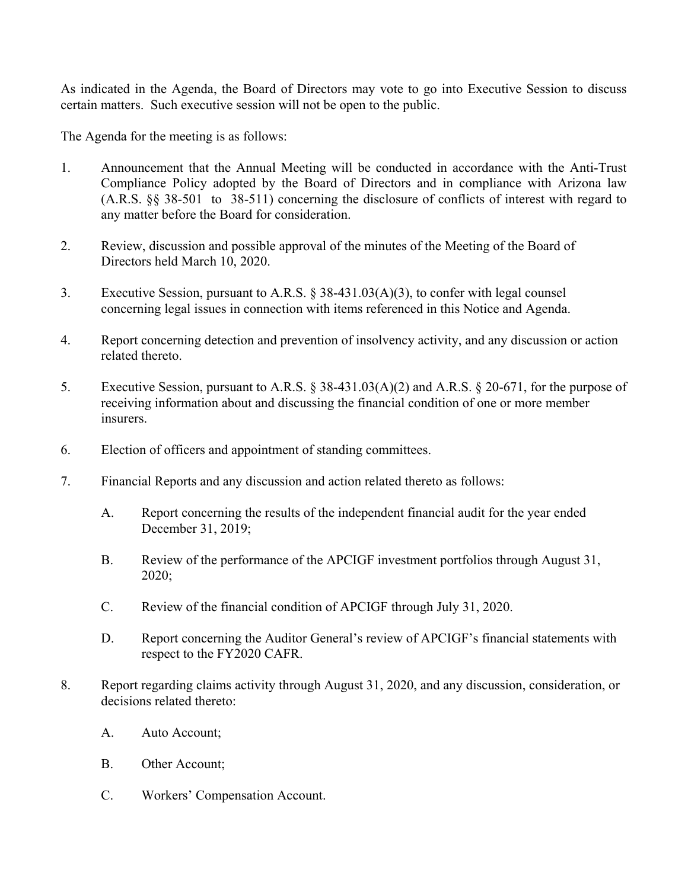As indicated in the Agenda, the Board of Directors may vote to go into Executive Session to discuss certain matters. Such executive session will not be open to the public.

The Agenda for the meeting is as follows:

- 1. Announcement that the Annual Meeting will be conducted in accordance with the Anti-Trust Compliance Policy adopted by the Board of Directors and in compliance with Arizona law (A.R.S. §§ 38-501 to 38-511) concerning the disclosure of conflicts of interest with regard to any matter before the Board for consideration.
- 2. Review, discussion and possible approval of the minutes of the Meeting of the Board of Directors held March 10, 2020.
- 3. Executive Session, pursuant to A.R.S. § 38-431.03(A)(3), to confer with legal counsel concerning legal issues in connection with items referenced in this Notice and Agenda.
- 4. Report concerning detection and prevention of insolvency activity, and any discussion or action related thereto.
- 5. Executive Session, pursuant to A.R.S. § 38-431.03(A)(2) and A.R.S. § 20-671, for the purpose of receiving information about and discussing the financial condition of one or more member insurers.
- 6. Election of officers and appointment of standing committees.
- 7. Financial Reports and any discussion and action related thereto as follows:
	- A. Report concerning the results of the independent financial audit for the year ended December 31, 2019;
	- B. Review of the performance of the APCIGF investment portfolios through August 31, 2020;
	- C. Review of the financial condition of APCIGF through July 31, 2020.
	- D. Report concerning the Auditor General's review of APCIGF's financial statements with respect to the FY2020 CAFR.
- 8. Report regarding claims activity through August 31, 2020, and any discussion, consideration, or decisions related thereto:
	- A. Auto Account;
	- B. Other Account;
	- C. Workers' Compensation Account.